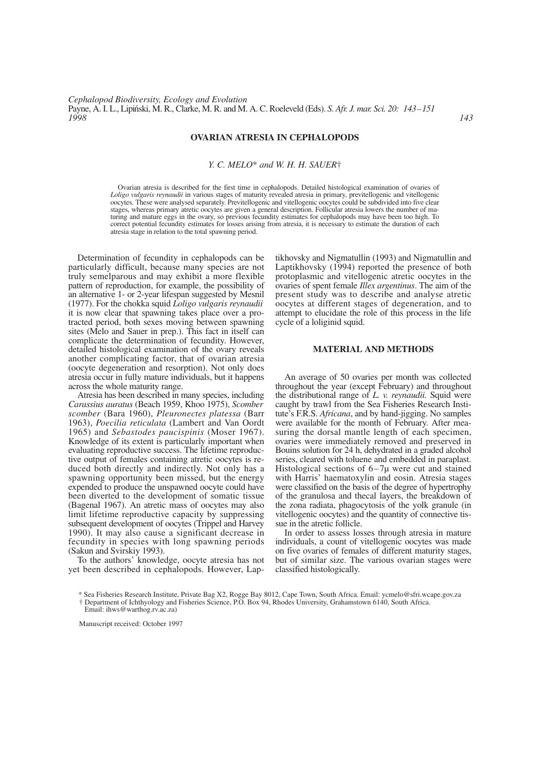### **OVARIAN ATRESIA IN CEPHALOPODS**

#### *Y. C. MELO*\* *and W. H. H. SAUER*†

Ovarian atresia is described for the first time in cephalopods. Detailed histological examination of ovaries of *Loligo vulgaris reynaudii* in various stages of maturity revealed atresia in primary, previtellogenic and vitellogenic oocytes. These were analysed separately. Previtellogenic and vitellogenic oocytes could be subdivided into five clear stages, whereas primary atretic oocytes are given a general description. Follicular atresia lowers the number of maturing and mature eggs in the ovary, so previous fecundity estimates for cephalopods may have been too high. To correct potential fecundity estimates for losses arising from atresia, it is necessary to estimate the duration of each atresia stage in relation to the total spawning period.

Determination of fecundity in cephalopods can be particularly difficult, because many species are not truly semelparous and may exhibit a more flexible pattern of reproduction, for example, the possibility of an alternative 1- or 2-year lifespan suggested by Mesnil (1977). For the chokka squid *Loligo vulgaris reynaudii* it is now clear that spawning takes place over a protracted period, both sexes moving between spawning sites (Melo and Sauer in prep.). This fact in itself can complicate the determination of fecundity. However, detailed histological examination of the ovary reveals another complicating factor, that of ovarian atresia (oocyte degeneration and resorption). Not only does atresia occur in fully mature individuals, but it happens across the whole maturity range.

Atresia has been described in many species, including *Carassius auratus* (Beach 1959, Khoo 1975), *Scomber scomber* (Bara 1960), *Pleuronectes platessa* (Barr 1963), *Poecilia reticulata* (Lambert and Van Oordt 1965) and *Sebastodes paucispinis* (Moser 1967). Knowledge of its extent is particularly important when evaluating reproductive success. The lifetime reproductive output of females containing atretic oocytes is reduced both directly and indirectly. Not only has a spawning opportunity been missed, but the energy expended to produce the unspawned oocyte could have been diverted to the development of somatic tissue (Bagenal 1967). An atretic mass of oocytes may also limit lifetime reproductive capacity by suppressing subsequent development of oocytes (Trippel and Harvey 1990). It may also cause a significant decrease in fecundity in species with long spawning periods (Sakun and Svirskiy 1993).

To the authors' knowledge, oocyte atresia has not yet been described in cephalopods. However, Laptikhovsky and Nigmatullin (1993) and Nigmatullin and Laptikhovsky (1994) reported the presence of both protoplasmic and vitellogenic atretic oocytes in the ovaries of spent female *Illex argentinus*. The aim of the present study was to describe and analyse atretic oocytes at different stages of degeneration, and to attempt to elucidate the role of this process in the life cycle of a loliginid squid.

### **MATERIAL AND METHODS**

An average of 50 ovaries per month was collected throughout the year (except February) and throughout the distributional range of *L. v. reynaudii.* Squid were caught by trawl from the Sea Fisheries Research Institute's F.R.S. *Africana*, and by hand-jigging. No samples were available for the month of February. After measuring the dorsal mantle length of each specimen, ovaries were immediately removed and preserved in Bouins solution for 24 h, dehydrated in a graded alcohol series, cleared with toluene and embedded in paraplast. Histological sections of  $6-7\mu$  were cut and stained with Harris' haematoxylin and eosin. Atresia stages were classified on the basis of the degree of hypertrophy of the granulosa and thecal layers, the breakdown of the zona radiata, phagocytosis of the yolk granule (in vitellogenic oocytes) and the quantity of connective tissue in the atretic follicle.

In order to assess losses through atresia in mature individuals, a count of vitellogenic oocytes was made on five ovaries of females of different maturity stages, but of similar size. The various ovarian stages were classified histologically.

† Department of Ichthyology and Fisheries Science, P.O. Box 94, Rhodes University, Grahamstown 6140, South Africa.

<sup>\*</sup> Sea Fisheries Research Institute, Private Bag X2, Rogge Bay 8012, Cape Town, South Africa. Email: ycmelo@sfri.wcape.gov.za

Email: ihws@warthog.rv.ac.za)

Manuscript received: October 1997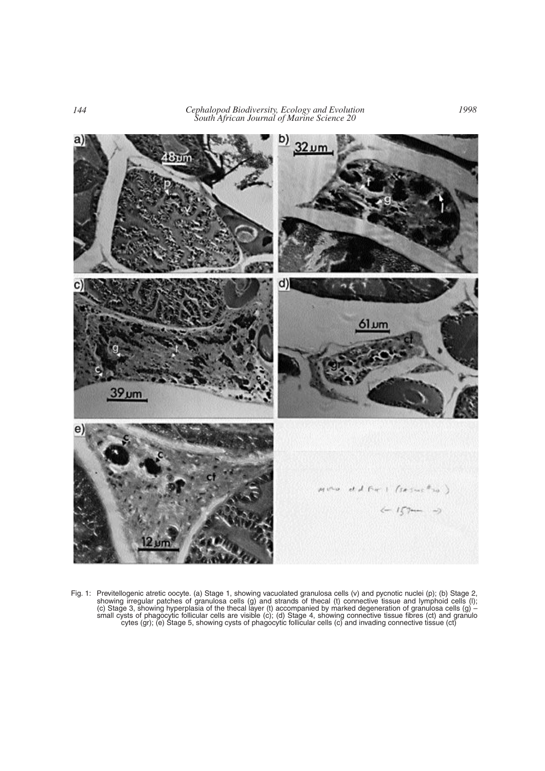*144 Cephalopod Biodiversity, Ecology and Evolution South African Journal of Marine Science 20*



Fig. 1: Previtellogenic atretic oocyte. (a) Stage 1, showing vacuolated granulosa cells (v) and pycnotic nuclei (p); (b) Stage 2, showing irregular patches of granulosa cells (g) and strands of thecal (t) connective tissue and lymphoid cells (l); (c) Stage 3, showing hyperplasia of the thecal layer (t) accompanied by marked degeneration of granulosa cells (g) – small cysts of phagocytic follicular cells are visible (c); (d) Stage 4, showing connective tissue fibres (ct) and granulo cytes (gr); (e) Stage 5, showing cysts of phagocytic follicular cells (c) and invading connective tissue (ct)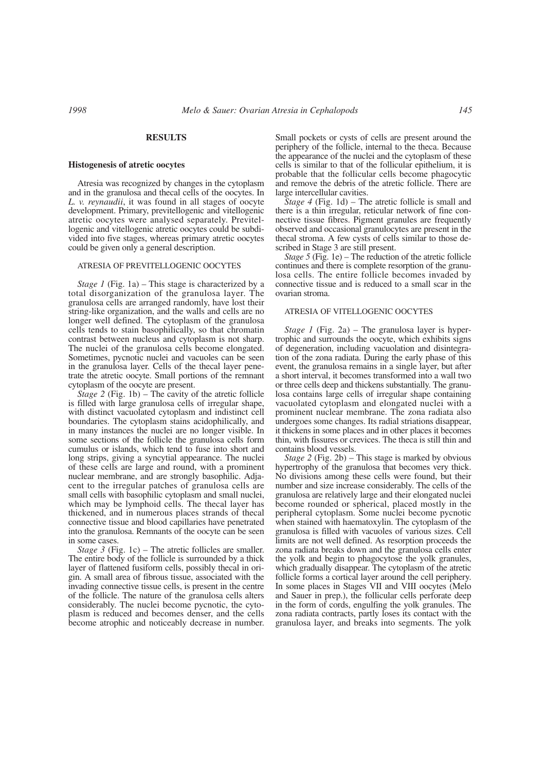#### **RESULTS**

#### **Histogenesis of atretic oocytes**

Atresia was recognized by changes in the cytoplasm and in the granulosa and thecal cells of the oocytes. In *L. v. reynaudii*, it was found in all stages of oocyte development. Primary, previtellogenic and vitellogenic atretic oocytes were analysed separately. Previtellogenic and vitellogenic atretic oocytes could be subdivided into five stages, whereas primary atretic oocytes could be given only a general description.

## ATRESIA OF PREVITELLOGENIC OOCYTES

*Stage 1* (Fig. 1a) – This stage is characterized by a total disorganization of the granulosa layer. The granulosa cells are arranged randomly, have lost their string-like organization, and the walls and cells are no longer well defined. The cytoplasm of the granulosa cells tends to stain basophilically, so that chromatin contrast between nucleus and cytoplasm is not sharp. The nuclei of the granulosa cells become elongated. Sometimes, pycnotic nuclei and vacuoles can be seen in the granulosa layer. Cells of the thecal layer penetrate the atretic oocyte. Small portions of the remnant cytoplasm of the oocyte are present.

*Stage 2* (Fig. 1b) – The cavity of the atretic follicle is filled with large granulosa cells of irregular shape, with distinct vacuolated cytoplasm and indistinct cell boundaries. The cytoplasm stains acidophilically, and in many instances the nuclei are no longer visible. In some sections of the follicle the granulosa cells form cumulus or islands, which tend to fuse into short and long strips, giving a syncytial appearance. The nuclei of these cells are large and round, with a prominent nuclear membrane, and are strongly basophilic. Adjacent to the irregular patches of granulosa cells are small cells with basophilic cytoplasm and small nuclei, which may be lymphoid cells. The thecal layer has thickened, and in numerous places strands of thecal connective tissue and blood capillaries have penetrated into the granulosa. Remnants of the oocyte can be seen in some cases.

*Stage 3* (Fig. 1c) – The atretic follicles are smaller. The entire body of the follicle is surrounded by a thick layer of flattened fusiform cells, possibly thecal in origin. A small area of fibrous tissue, associated with the invading connective tissue cells, is present in the centre of the follicle. The nature of the granulosa cells alters considerably. The nuclei become pycnotic, the cytoplasm is reduced and becomes denser, and the cells become atrophic and noticeably decrease in number.

Small pockets or cysts of cells are present around the periphery of the follicle, internal to the theca. Because the appearance of the nuclei and the cytoplasm of these cells is similar to that of the follicular epithelium, it is probable that the follicular cells become phagocytic and remove the debris of the atretic follicle. There are large intercellular cavities.

*Stage 4* (Fig. 1d) – The atretic follicle is small and there is a thin irregular, reticular network of fine connective tissue fibres. Pigment granules are frequently observed and occasional granulocytes are present in the thecal stroma. A few cysts of cells similar to those described in Stage 3 are still present.

*Stage 5* (Fig. 1e) – The reduction of the atretic follicle continues and there is complete resorption of the granulosa cells. The entire follicle becomes invaded by connective tissue and is reduced to a small scar in the ovarian stroma.

### ATRESIA OF VITELLOGENIC OOCYTES

*Stage 1* (Fig. 2a) – The granulosa layer is hypertrophic and surrounds the oocyte, which exhibits signs of degeneration, including vacuolation and disintegration of the zona radiata. During the early phase of this event, the granulosa remains in a single layer, but after a short interval, it becomes transformed into a wall two or three cells deep and thickens substantially. The granulosa contains large cells of irregular shape containing vacuolated cytoplasm and elongated nuclei with a prominent nuclear membrane. The zona radiata also undergoes some changes. Its radial striations disappear, it thickens in some places and in other places it becomes thin, with fissures or crevices. The theca is still thin and contains blood vessels.

*Stage 2* (Fig. 2b) – This stage is marked by obvious hypertrophy of the granulosa that becomes very thick. No divisions among these cells were found, but their number and size increase considerably. The cells of the granulosa are relatively large and their elongated nuclei become rounded or spherical, placed mostly in the peripheral cytoplasm. Some nuclei become pycnotic when stained with haematoxylin. The cytoplasm of the granulosa is filled with vacuoles of various sizes. Cell limits are not well defined. As resorption proceeds the zona radiata breaks down and the granulosa cells enter the yolk and begin to phagocytose the yolk granules, which gradually disappear. The cytoplasm of the atretic follicle forms a cortical layer around the cell periphery. In some places in Stages VII and VIII oocytes (Melo and Sauer in prep.), the follicular cells perforate deep in the form of cords, engulfing the yolk granules. The zona radiata contracts, partly loses its contact with the granulosa layer, and breaks into segments. The yolk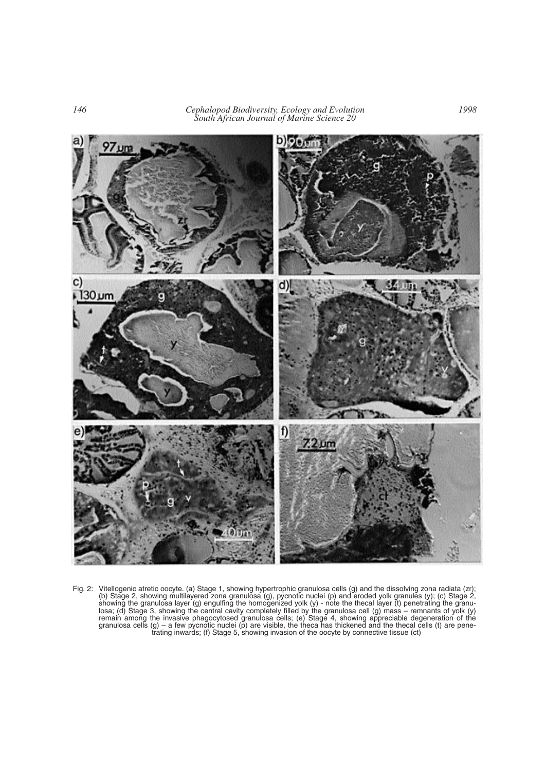*146 Cephalopod Biodiversity, Ecology and Evolution South African Journal of Marine Science 20*



Fig. 2: Vitellogenic atretic oocyte. (a) Stage 1, showing hypertrophic granulosa cells (g) and the dissolving zona radiata (zr); (b) Stage 2, showing multilayered zona granulosa (g), pycnotic nuclei (p) and eroded yolk granules (y); (c) Stage 2, showing the granulosa layer (g) engulfing the homogenized yolk (y) - note the thecal layer (t) penetrating the granulosa; (d) Stage 3, showing the central cavity completely filled by the granulosa cell (g) mass – remnants of yolk (y) remain among the invasive phagocytosed granulosa cells; (e) Stage 4, showing appreciable degeneration of the granulosa cells (g) – a few pycnotic nuclei (p) are visible, the theca has thickened and the thecal cells (t) are penetrating inwards; (f) Stage 5, showing invasion of the oocyte by connective tissue (ct)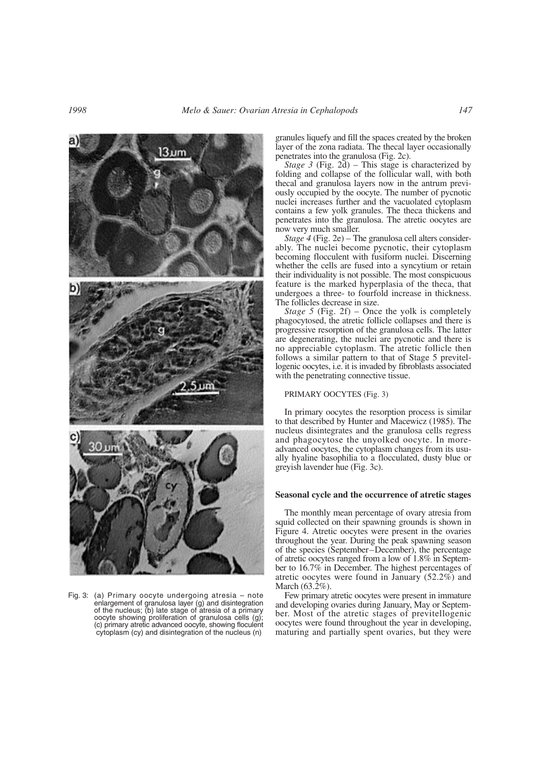

Fig. 3: (a) Primary oocyte undergoing atresia – note enlargement of granulosa layer (g) and disintegration of the nucleus; (b) late stage of atresia of a primary oocyte showing proliferation of granulosa cells (g); (c) primary atretic advanced oocyte, showing floculent cytoplasm (cy) and disintegration of the nucleus (n)

granules liquefy and fill the spaces created by the broken layer of the zona radiata. The thecal layer occasionally penetrates into the granulosa (Fig. 2c).

*Stage 3* (Fig. 2d) – This stage is characterized by folding and collapse of the follicular wall, with both thecal and granulosa layers now in the antrum previously occupied by the oocyte. The number of pycnotic nuclei increases further and the vacuolated cytoplasm contains a few yolk granules. The theca thickens and penetrates into the granulosa. The atretic oocytes are now very much smaller.

*Stage 4* (Fig. 2e) – The granulosa cell alters considerably. The nuclei become pycnotic, their cytoplasm becoming flocculent with fusiform nuclei. Discerning whether the cells are fused into a syncytium or retain their individuality is not possible. The most conspicuous feature is the marked hyperplasia of the theca, that undergoes a three- to fourfold increase in thickness. The follicles decrease in size.

*Stage 5* (Fig. 2f) – Once the yolk is completely phagocytosed, the atretic follicle collapses and there is progressive resorption of the granulosa cells. The latter are degenerating, the nuclei are pycnotic and there is no appreciable cytoplasm. The atretic follicle then follows a similar pattern to that of Stage 5 previtellogenic oocytes, i.e. it is invaded by fibroblasts associated with the penetrating connective tissue.

#### PRIMARY OOCYTES (Fig. 3)

In primary oocytes the resorption process is similar to that described by Hunter and Macewicz (1985). The nucleus disintegrates and the granulosa cells regress and phagocytose the unyolked oocyte. In moreadvanced oocytes, the cytoplasm changes from its usually hyaline basophilia to a flocculated, dusty blue or greyish lavender hue (Fig. 3c).

#### **Seasonal cycle and the occurrence of atretic stages**

The monthly mean percentage of ovary atresia from squid collected on their spawning grounds is shown in Figure 4. Atretic oocytes were present in the ovaries throughout the year. During the peak spawning season of the species (September–December), the percentage of atretic oocytes ranged from a low of 1.8% in September to 16.7% in December. The highest percentages of atretic oocytes were found in January (52.2%) and March (63.2%).

Few primary atretic oocytes were present in immature and developing ovaries during January, May or September. Most of the atretic stages of previtellogenic oocytes were found throughout the year in developing, maturing and partially spent ovaries, but they were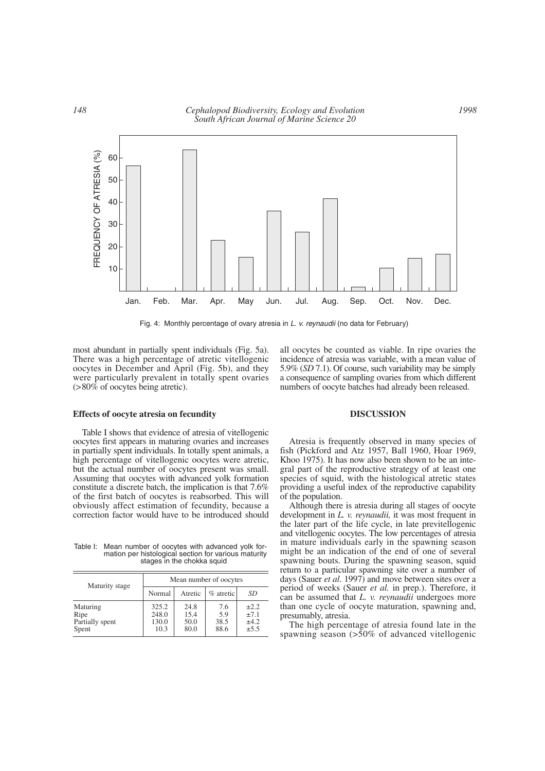

Fig. 4: Monthly percentage of ovary atresia in *L. v. reynaudii* (no data for February)

most abundant in partially spent individuals (Fig. 5a). There was a high percentage of atretic vitellogenic oocytes in December and April (Fig. 5b), and they were particularly prevalent in totally spent ovaries (>80% of oocytes being atretic).

#### **Effects of oocyte atresia on fecundity**

Table I shows that evidence of atresia of vitellogenic oocytes first appears in maturing ovaries and increases in partially spent individuals. In totally spent animals, a high percentage of vitellogenic oocytes were atretic, but the actual number of oocytes present was small. Assuming that oocytes with advanced yolk formation constitute a discrete batch, the implication is that 7.6% of the first batch of oocytes is reabsorbed. This will obviously affect estimation of fecundity, because a correction factor would have to be introduced should

Table I: Mean number of oocytes with advanced yolk formation per histological section for various maturity stages in the chokka squid

| Maturity stage                               | Mean number of oocytes          |                              |                            |                                        |
|----------------------------------------------|---------------------------------|------------------------------|----------------------------|----------------------------------------|
|                                              | Normal                          | Atretic                      | $%$ atretic                | SD                                     |
| Maturing<br>Ripe<br>Partially spent<br>Spent | 325.2<br>248.0<br>130.0<br>10.3 | 24.8<br>15.4<br>50.0<br>80.0 | 7.6<br>5.9<br>38.5<br>88.6 | $\pm 2.2$<br>±7.1<br>±4.2<br>$\pm$ 5.5 |

all oocytes be counted as viable. In ripe ovaries the incidence of atresia was variable, with a mean value of 5.9% (*SD* 7.1). Of course, such variability may be simply a consequence of sampling ovaries from which different numbers of oocyte batches had already been released.

# **DISCUSSION**

Atresia is frequently observed in many species of fish (Pickford and Atz 1957, Ball 1960, Hoar 1969, Khoo 1975). It has now also been shown to be an integral part of the reproductive strategy of at least one species of squid, with the histological atretic states providing a useful index of the reproductive capability of the population.

Although there is atresia during all stages of oocyte development in *L. v. reynaudii,* it was most frequent in the later part of the life cycle, in late previtellogenic and vitellogenic oocytes. The low percentages of atresia in mature individuals early in the spawning season might be an indication of the end of one of several spawning bouts. During the spawning season, squid return to a particular spawning site over a number of days (Sauer *et al*. 1997) and move between sites over a period of weeks (Sauer *et al.* in prep.). Therefore, it can be assumed that *L. v. reynaudii* undergoes more than one cycle of oocyte maturation, spawning and, presumably, atresia.

The high percentage of atresia found late in the spawning season (>50% of advanced vitellogenic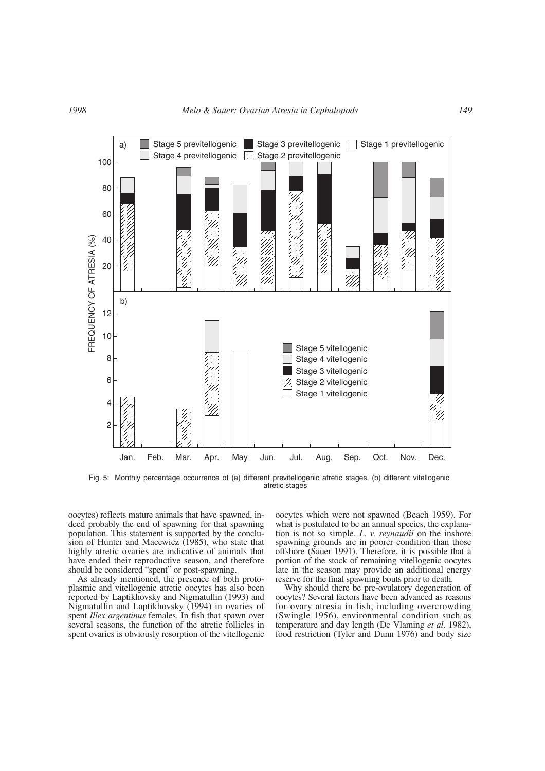

Fig. 5: Monthly percentage occurrence of (a) different previtellogenic atretic stages, (b) different vitellogenic atretic stages

oocytes) reflects mature animals that have spawned, indeed probably the end of spawning for that spawning population. This statement is supported by the conclusion of Hunter and Macewicz (1985), who state that highly atretic ovaries are indicative of animals that have ended their reproductive season, and therefore should be considered "spent" or post-spawning.

As already mentioned, the presence of both protoplasmic and vitellogenic atretic oocytes has also been reported by Laptikhovsky and Nigmatullin (1993) and Nigmatullin and Laptikhovsky (1994) in ovaries of spent *Illex argentinus* females. In fish that spawn over several seasons, the function of the atretic follicles in spent ovaries is obviously resorption of the vitellogenic

oocytes which were not spawned (Beach 1959). For what is postulated to be an annual species, the explanation is not so simple. *L. v. reynaudii* on the inshore spawning grounds are in poorer condition than those offshore (Sauer 1991). Therefore, it is possible that a portion of the stock of remaining vitellogenic oocytes late in the season may provide an additional energy reserve for the final spawning bouts prior to death.

Why should there be pre-ovulatory degeneration of oocytes? Several factors have been advanced as reasons for ovary atresia in fish, including overcrowding (Swingle 1956), environmental condition such as temperature and day length (De Vlaming *et al*. 1982), food restriction (Tyler and Dunn 1976) and body size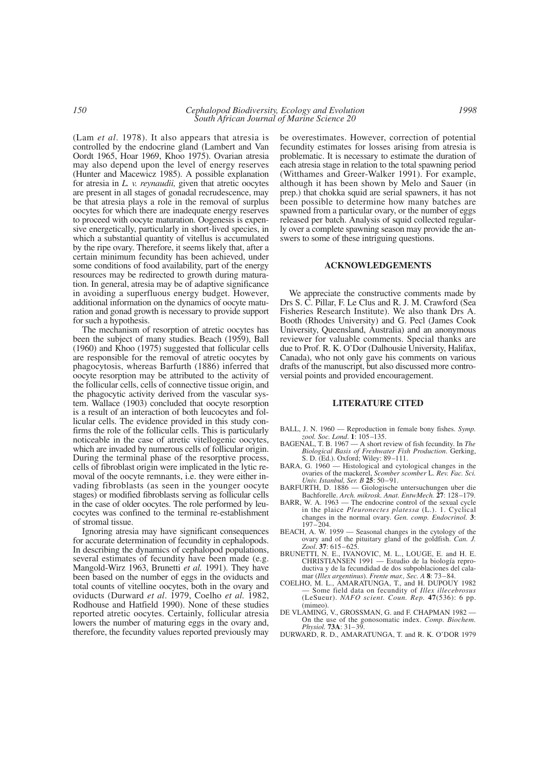(Lam *et al*. 1978). It also appears that atresia is controlled by the endocrine gland (Lambert and Van Oordt 1965, Hoar 1969, Khoo 1975). Ovarian atresia may also depend upon the level of energy reserves (Hunter and Macewicz 1985). A possible explanation for atresia in *L. v. reynaudii,* given that atretic oocytes are present in all stages of gonadal recrudescence, may be that atresia plays a role in the removal of surplus oocytes for which there are inadequate energy reserves to proceed with oocyte maturation. Oogenesis is expensive energetically, particularly in short-lived species, in which a substantial quantity of vitellus is accumulated by the ripe ovary. Therefore, it seems likely that, after a certain minimum fecundity has been achieved, under some conditions of food availability, part of the energy resources may be redirected to growth during maturation. In general, atresia may be of adaptive significance in avoiding a superfluous energy budget. However, additional information on the dynamics of oocyte maturation and gonad growth is necessary to provide support for such a hypothesis.

The mechanism of resorption of atretic oocytes has been the subject of many studies. Beach (1959), Ball (1960) and Khoo (1975) suggested that follicular cells are responsible for the removal of atretic oocytes by phagocytosis, whereas Barfurth (1886) inferred that oocyte resorption may be attributed to the activity of the follicular cells, cells of connective tissue origin, and the phagocytic activity derived from the vascular system. Wallace (1903) concluded that oocyte resorption is a result of an interaction of both leucocytes and follicular cells. The evidence provided in this study confirms the role of the follicular cells. This is particularly noticeable in the case of atretic vitellogenic oocytes, which are invaded by numerous cells of follicular origin. During the terminal phase of the resorptive process, cells of fibroblast origin were implicated in the lytic removal of the oocyte remnants, i.e. they were either invading fibroblasts (as seen in the younger oocyte stages) or modified fibroblasts serving as follicular cells in the case of older oocytes. The role performed by leucocytes was confined to the terminal re-establishment of stromal tissue.

Ignoring atresia may have significant consequences for accurate determination of fecundity in cephalopods. In describing the dynamics of cephalopod populations, several estimates of fecundity have been made (e.g. Mangold-Wirz 1963, Brunetti *et al.* 1991). They have been based on the number of eggs in the oviducts and total counts of vitelline oocytes, both in the ovary and oviducts (Durward *et al*. 1979, Coelho *et al.* 1982, Rodhouse and Hatfield 1990). None of these studies reported atretic oocytes. Certainly, follicular atresia lowers the number of maturing eggs in the ovary and, therefore, the fecundity values reported previously may

be overestimates. However, correction of potential fecundity estimates for losses arising from atresia is problematic. It is necessary to estimate the duration of each atresia stage in relation to the total spawning period (Witthames and Greer-Walker 1991). For example, although it has been shown by Melo and Sauer (in prep.) that chokka squid are serial spawners, it has not been possible to determine how many batches are spawned from a particular ovary, or the number of eggs released per batch. Analysis of squid collected regularly over a complete spawning season may provide the answers to some of these intriguing questions.

#### **ACKNOWLEDGEMENTS**

We appreciate the constructive comments made by Drs S. C. Pillar, F. Le Clus and R. J. M. Crawford (Sea Fisheries Research Institute). We also thank Drs A. Booth (Rhodes University) and G. Pecl (James Cook University, Queensland, Australia) and an anonymous reviewer for valuable comments. Special thanks are due to Prof. R. K. O'Dor (Dalhousie University, Halifax, Canada), who not only gave his comments on various drafts of the manuscript, but also discussed more controversial points and provided encouragement.

## **LITERATURE CITED**

- BALL, J. N. 1960 Reproduction in female bony fishes. *Symp. zool. Soc. Lond*. **1**: 105–135.
- BAGENAL, T. B. 1967 A short review of fish fecundity. In *The Biological Basis of Freshwater Fish Production*. Gerking, S. D. (Ed.). Oxford; Wiley: 89–111.
- BARA, G. 1960 Histological and cytological changes in the ovaries of the mackerel, *Scomber scomber* L. *Rev. Fac. Sci. Univ. Istanbul, Ser. B* **25**: 50–91.
- BARFURTH, D. 1886 Giologische untersuchungen uber die Bachforelle. *Arch. mikrosk. Anat. EntwMech.* **27**: 128–179.
- BARR, W. A. 1963 The endocrine control of the sexual cycle in the plaice *Pleuronectes platessa* (L.). 1. Cyclical changes in the normal ovary. *Gen. comp. Endocrinol.* **3**: 197–204.
- BEACH, A. W. 1959 Seasonal changes in the cytology of the ovary and of the pituitary gland of the goldfish. *Can. J. Zool*. **37**: 615–625.
- BRUNETTI, N. E., IVANOVIC, M. L., LOUGE, E. and H. E. CHRISTIANSEN 1991 — Estudio de la biología reproductiva y de la fecundidad de dos subpoblaciones del calamar (*Illex argentinus*). *Frente mar., Sec. A* **8**: 73–84.
- COELHO, M. L., AMARATUNGA, T., and H. DUPOUY 1982 — Some field data on fecundity of *Illex illecebrosus* (LeSueur). *NAFO scient. Coun. Rep.* **47**(536): 6 pp. (mimeo).
- DE VLAMING, V., GROSSMAN, G. and F. CHAPMAN 1982 On the use of the gonosomatic index. *Comp. Biochem. Physiol.* **73A**: 31–39.
- DURWARD, R. D., AMARATUNGA, T. and R. K. O'DOR 1979